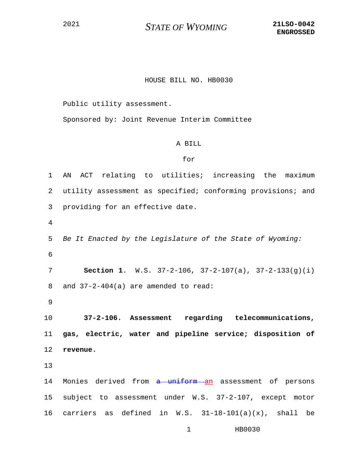## <sup>2021</sup> *STATE OF WYOMING* **21LSO-0042**

## HOUSE BILL NO. HB0030

Public utility assessment.

Sponsored by: Joint Revenue Interim Committee

## A BILL

## for

1 AN ACT relating to utilities; increasing the maximum 2 utility assessment as specified; conforming provisions; and 3 providing for an effective date. 4 5 *Be It Enacted by the Legislature of the State of Wyoming:* 6 7 **Section 1**. W.S. 37-2-106, 37-2-107(a), 37-2-133(g)(i) 8 and 37-2-404(a) are amended to read: 9 10 **37-2-106. Assessment regarding telecommunications,**  11 **gas, electric, water and pipeline service; disposition of**  12 **revenue.** 13 14 Monies derived from a uniform an assessment of persons 15 subject to assessment under W.S. 37-2-107, except motor 16 carriers as defined in W.S.  $31-18-101(a)(x)$ , shall be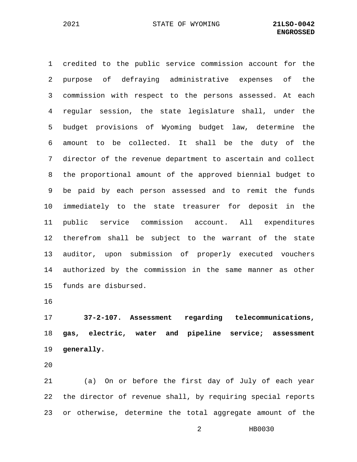1 credited to the public service commission account for the 2 purpose of defraying administrative expenses of the 3 commission with respect to the persons assessed. At each 4 regular session, the state legislature shall, under the 5 budget provisions of Wyoming budget law, determine the 6 amount to be collected. It shall be the duty of the 7 director of the revenue department to ascertain and collect 8 the proportional amount of the approved biennial budget to 9 be paid by each person assessed and to remit the funds 10 immediately to the state treasurer for deposit in the 11 public service commission account. All expenditures 12 therefrom shall be subject to the warrant of the state 13 auditor, upon submission of properly executed vouchers 14 authorized by the commission in the same manner as other 15 funds are disbursed.

16

17 **37-2-107. Assessment regarding telecommunications,**  18 **gas, electric, water and pipeline service; assessment**  19 **generally.**

20

21 (a) On or before the first day of July of each year 22 the director of revenue shall, by requiring special reports 23 or otherwise, determine the total aggregate amount of the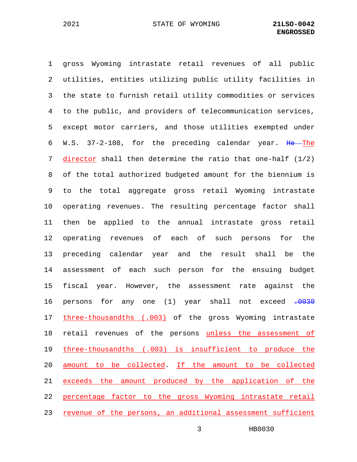1 gross Wyoming intrastate retail revenues of all public 2 utilities, entities utilizing public utility facilities in 3 the state to furnish retail utility commodities or services 4 to the public, and providers of telecommunication services, 5 except motor carriers, and those utilities exempted under 6 W.S. 37-2-108, for the preceding calendar year. He The 7 director shall then determine the ratio that one-half (1/2) 8 of the total authorized budgeted amount for the biennium is 9 to the total aggregate gross retail Wyoming intrastate 10 operating revenues. The resulting percentage factor shall 11 then be applied to the annual intrastate gross retail 12 operating revenues of each of such persons for the 13 preceding calendar year and the result shall be the 14 assessment of each such person for the ensuing budget 15 fiscal year. However, the assessment rate against the 16 persons for any one (1) year shall not exceed .0030 17 three-thousandths (.003) of the gross Wyoming intrastate 18 retail revenues of the persons unless the assessment of 19 three-thousandths (.003) is insufficient to produce the 20 amount to be collected. If the amount to be collected 21 exceeds the amount produced by the application of the 22 percentage factor to the gross Wyoming intrastate retail 23 revenue of the persons, an additional assessment sufficient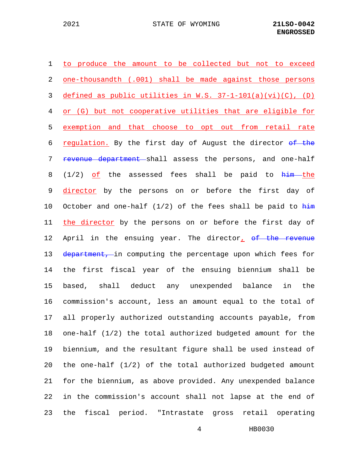1 to produce the amount to be collected but not to exceed 2 one-thousandth (.001) shall be made against those persons 3 defined as public utilities in W.S. 37-1-101(a)(vi)(C), (D) 4 or (G) but not cooperative utilities that are eligible for 5 exemption and that choose to opt out from retail rate 6 regulation. By the first day of August the director  $\Theta$  the 7 revenue department shall assess the persons, and one-half 8 (1/2)  $of$  the assessed fees shall be paid to  $him$ -the 9 director by the persons on or before the first day of 10 October and one-half  $(1/2)$  of the fees shall be paid to  $\frac{h\text{im}}{h}$ 11 the director by the persons on or before the first day of 12 April in the ensuing year. The director,  $\theta$  the revenue 13 department, in computing the percentage upon which fees for 14 the first fiscal year of the ensuing biennium shall be 15 based, shall deduct any unexpended balance in the 16 commission's account, less an amount equal to the total of 17 all properly authorized outstanding accounts payable, from 18 one-half (1/2) the total authorized budgeted amount for the 19 biennium, and the resultant figure shall be used instead of 20 the one-half (1/2) of the total authorized budgeted amount 21 for the biennium, as above provided. Any unexpended balance 22 in the commission's account shall not lapse at the end of 23 the fiscal period. "Intrastate gross retail operating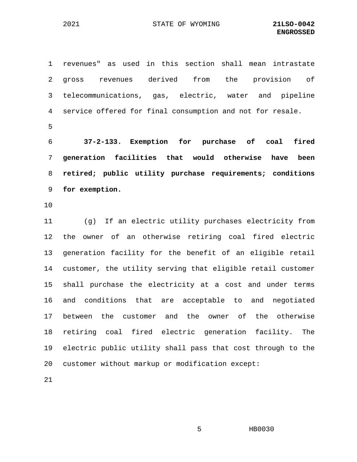1 revenues" as used in this section shall mean intrastate 2 gross revenues derived from the provision of 3 telecommunications, gas, electric, water and pipeline 4 service offered for final consumption and not for resale. 5

 **37-2-133. Exemption for purchase of coal fired generation facilities that would otherwise have been retired; public utility purchase requirements; conditions for exemption.**

10

11 (g) If an electric utility purchases electricity from 12 the owner of an otherwise retiring coal fired electric 13 generation facility for the benefit of an eligible retail 14 customer, the utility serving that eligible retail customer 15 shall purchase the electricity at a cost and under terms 16 and conditions that are acceptable to and negotiated 17 between the customer and the owner of the otherwise 18 retiring coal fired electric generation facility. The 19 electric public utility shall pass that cost through to the 20 customer without markup or modification except:

21